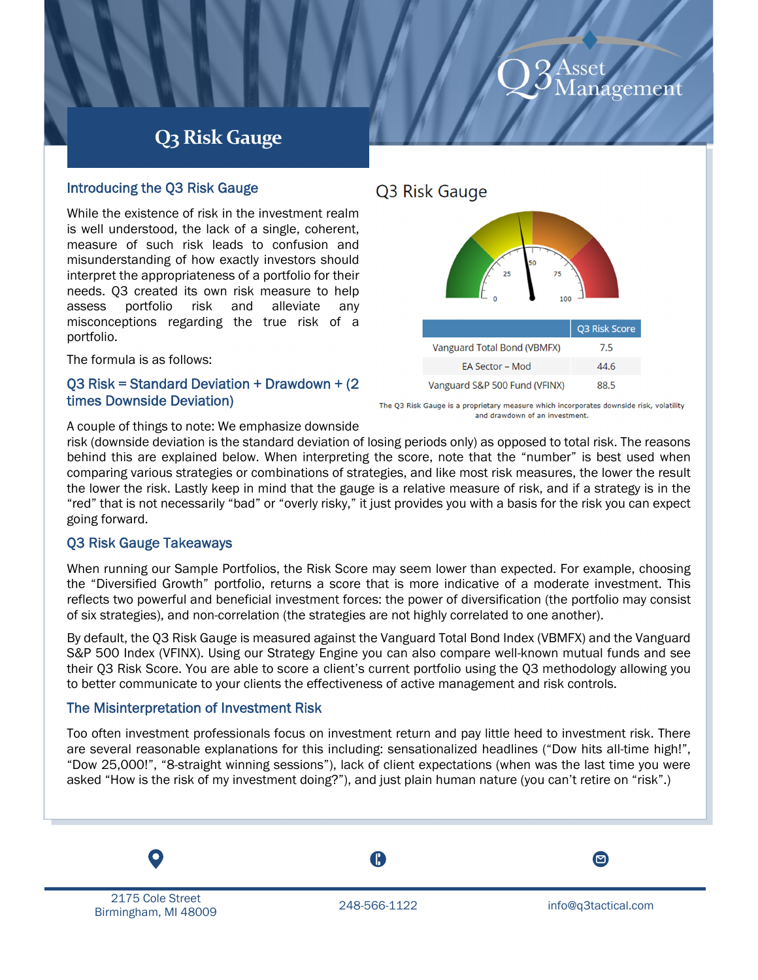# agemen

# **Q3 Risk Gauge**

# Introducing the Q3 Risk Gauge

While the existence of risk in the investment realm is well understood, the lack of a single, coherent, measure of such risk leads to confusion and misunderstanding of how exactly investors should interpret the appropriateness of a portfolio for their needs. Q3 created its own risk measure to help assess portfolio risk and alleviate any misconceptions regarding the true risk of a portfolio.

The formula is as follows:

### Q3 Risk = Standard Deviation + Drawdown + (2 times Downside Deviation)

# Q3 Risk Gauge



The Q3 Risk Gauge is a proprietary measure which incorporates downside risk, volatility and drawdown of an investment.

A couple of things to note: We emphasize downside

risk (downside deviation is the standard deviation of losing periods only) as opposed to total risk. The reasons behind this are explained below. When interpreting the score, note that the "number" is best used when comparing various strategies or combinations of strategies, and like most risk measures, the lower the result the lower the risk. Lastly keep in mind that the gauge is a relative measure of risk, and if a strategy is in the "red" that is not necessarily "bad" or "overly risky," it just provides you with a basis for the risk you can expect going forward.

# Q3 Risk Gauge Takeaways

When running our Sample Portfolios, the Risk Score may seem lower than expected. For example, choosing the "Diversified Growth" portfolio, returns a score that is more indicative of a moderate investment. This reflects two powerful and beneficial investment forces: the power of diversification (the portfolio may consist of six strategies), and non-correlation (the strategies are not highly correlated to one another).

By default, the Q3 Risk Gauge is measured against the Vanguard Total Bond Index (VBMFX) and the Vanguard S&P 500 Index (VFINX). Using our Strategy Engine you can also compare well-known mutual funds and see their Q3 Risk Score. You are able to score a client's current portfolio using the Q3 methodology allowing you to better communicate to your clients the effectiveness of active management and risk controls.

# The Misinterpretation of Investment Risk

Too often investment professionals focus on investment return and pay little heed to investment risk. There are several reasonable explanations for this including: sensationalized headlines ("Dow hits all-time high!", "Dow 25,000!", "8-straight winning sessions"), lack of client expectations (when was the last time you were asked "How is the risk of my investment doing?"), and just plain human nature (you can't retire on "risk".)

l. 2175 Cole Street ziro cole street<br>Birmingham, MI 48009 248-566-1122 info@q3tactical.com

T.

 $\Xi$